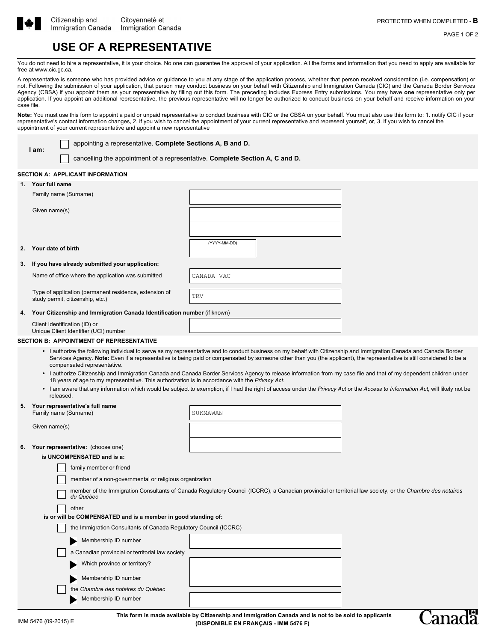

**I am:**

'ana

PAGE 1 OF 2

# **USE OF A REPRESENTATIVE**

You do not need to hire a representative, it is your choice. No one can guarantee the approval of your application. All the forms and information that you need to apply are available for free at www.cic.gc.ca.

A representative is someone who has provided advice or guidance to you at any stage of the application process, whether that person received consideration (i.e. compensation) or not. Following the submission of your application, that person may conduct business on your behalf with Citizenship and Immigration Canada (CIC) and the Canada Border Services Agency (CBSA) if you appoint them as your representative by filling out this form. The preceding includes Express Entry submissions. You may have **one** representative only per application. If you appoint an additional representative, the previous representative will no longer be authorized to conduct business on your behalf and receive information on your case file.

Note: You must use this form to appoint a paid or unpaid representative to conduct business with CIC or the CBSA on your behalf. You must also use this form to: 1. notify CIC if your representative's contact information changes, 2. if you wish to cancel the appointment of your current representative and represent yourself, or, 3. if you wish to cancel the appointment of your current representative and appoint a new representative

appointing a representative. **Complete Sections A, B and D.**

cancelling the appointment of a representative. **Complete Section A, C and D.**

## **SECTION A: APPLICANT INFORMATION**

|                                                                | 1. Your full name                                                                                                                                                                                                                                                                                                                                                                                                                                                                                                                                                                                                                                                                                                                                                                                                                                   |              |  |  |  |  |  |
|----------------------------------------------------------------|-----------------------------------------------------------------------------------------------------------------------------------------------------------------------------------------------------------------------------------------------------------------------------------------------------------------------------------------------------------------------------------------------------------------------------------------------------------------------------------------------------------------------------------------------------------------------------------------------------------------------------------------------------------------------------------------------------------------------------------------------------------------------------------------------------------------------------------------------------|--------------|--|--|--|--|--|
|                                                                | Family name (Surname)                                                                                                                                                                                                                                                                                                                                                                                                                                                                                                                                                                                                                                                                                                                                                                                                                               |              |  |  |  |  |  |
|                                                                | Given name(s)                                                                                                                                                                                                                                                                                                                                                                                                                                                                                                                                                                                                                                                                                                                                                                                                                                       |              |  |  |  |  |  |
|                                                                |                                                                                                                                                                                                                                                                                                                                                                                                                                                                                                                                                                                                                                                                                                                                                                                                                                                     |              |  |  |  |  |  |
| 2.                                                             | Your date of birth                                                                                                                                                                                                                                                                                                                                                                                                                                                                                                                                                                                                                                                                                                                                                                                                                                  | (YYYY-MM-DD) |  |  |  |  |  |
| 3.                                                             | If you have already submitted your application:                                                                                                                                                                                                                                                                                                                                                                                                                                                                                                                                                                                                                                                                                                                                                                                                     |              |  |  |  |  |  |
|                                                                | Name of office where the application was submitted                                                                                                                                                                                                                                                                                                                                                                                                                                                                                                                                                                                                                                                                                                                                                                                                  | CANADA VAC   |  |  |  |  |  |
|                                                                | Type of application (permanent residence, extension of<br>study permit, citizenship, etc.)                                                                                                                                                                                                                                                                                                                                                                                                                                                                                                                                                                                                                                                                                                                                                          | TRV          |  |  |  |  |  |
| 4.                                                             | Your Citizenship and Immigration Canada Identification number (if known)                                                                                                                                                                                                                                                                                                                                                                                                                                                                                                                                                                                                                                                                                                                                                                            |              |  |  |  |  |  |
|                                                                | Client Identification (ID) or<br>Unique Client Identifier (UCI) number                                                                                                                                                                                                                                                                                                                                                                                                                                                                                                                                                                                                                                                                                                                                                                              |              |  |  |  |  |  |
|                                                                | <b>SECTION B: APPOINTMENT OF REPRESENTATIVE</b>                                                                                                                                                                                                                                                                                                                                                                                                                                                                                                                                                                                                                                                                                                                                                                                                     |              |  |  |  |  |  |
|                                                                | • I authorize the following individual to serve as my representative and to conduct business on my behalf with Citizenship and Immigration Canada and Canada Border<br>Services Agency. Note: Even if a representative is being paid or compensated by someone other than you (the applicant), the representative is still considered to be a<br>compensated representative.<br>• I authorize Citizenship and Immigration Canada and Canada Border Services Agency to release information from my case file and that of my dependent children under<br>18 years of age to my representative. This authorization is in accordance with the Privacy Act.<br>I am aware that any information which would be subject to exemption, if I had the right of access under the Privacy Act or the Access to Information Act, will likely not be<br>released. |              |  |  |  |  |  |
| 5.                                                             | Your representative's full name<br>Family name (Surname)                                                                                                                                                                                                                                                                                                                                                                                                                                                                                                                                                                                                                                                                                                                                                                                            | SUKMAWAN     |  |  |  |  |  |
|                                                                |                                                                                                                                                                                                                                                                                                                                                                                                                                                                                                                                                                                                                                                                                                                                                                                                                                                     |              |  |  |  |  |  |
|                                                                | Given name(s)                                                                                                                                                                                                                                                                                                                                                                                                                                                                                                                                                                                                                                                                                                                                                                                                                                       |              |  |  |  |  |  |
| 6.                                                             | Your representative: (choose one)                                                                                                                                                                                                                                                                                                                                                                                                                                                                                                                                                                                                                                                                                                                                                                                                                   |              |  |  |  |  |  |
|                                                                | is UNCOMPENSATED and is a:                                                                                                                                                                                                                                                                                                                                                                                                                                                                                                                                                                                                                                                                                                                                                                                                                          |              |  |  |  |  |  |
| family member or friend                                        |                                                                                                                                                                                                                                                                                                                                                                                                                                                                                                                                                                                                                                                                                                                                                                                                                                                     |              |  |  |  |  |  |
|                                                                | member of a non-governmental or religious organization<br>member of the Immigration Consultants of Canada Regulatory Council (ICCRC), a Canadian provincial or territorial law society, or the Chambre des notaires<br>du Québec                                                                                                                                                                                                                                                                                                                                                                                                                                                                                                                                                                                                                    |              |  |  |  |  |  |
|                                                                |                                                                                                                                                                                                                                                                                                                                                                                                                                                                                                                                                                                                                                                                                                                                                                                                                                                     |              |  |  |  |  |  |
|                                                                | other                                                                                                                                                                                                                                                                                                                                                                                                                                                                                                                                                                                                                                                                                                                                                                                                                                               |              |  |  |  |  |  |
| is or will be COMPENSATED and is a member in good standing of: |                                                                                                                                                                                                                                                                                                                                                                                                                                                                                                                                                                                                                                                                                                                                                                                                                                                     |              |  |  |  |  |  |
|                                                                | the Immigration Consultants of Canada Regulatory Council (ICCRC)                                                                                                                                                                                                                                                                                                                                                                                                                                                                                                                                                                                                                                                                                                                                                                                    |              |  |  |  |  |  |
|                                                                | Membership ID number                                                                                                                                                                                                                                                                                                                                                                                                                                                                                                                                                                                                                                                                                                                                                                                                                                |              |  |  |  |  |  |
|                                                                | a Canadian provincial or territorial law society                                                                                                                                                                                                                                                                                                                                                                                                                                                                                                                                                                                                                                                                                                                                                                                                    |              |  |  |  |  |  |
|                                                                | Which province or territory?                                                                                                                                                                                                                                                                                                                                                                                                                                                                                                                                                                                                                                                                                                                                                                                                                        |              |  |  |  |  |  |
|                                                                | Membership ID number                                                                                                                                                                                                                                                                                                                                                                                                                                                                                                                                                                                                                                                                                                                                                                                                                                |              |  |  |  |  |  |
|                                                                | the Chambre des notaires du Québec                                                                                                                                                                                                                                                                                                                                                                                                                                                                                                                                                                                                                                                                                                                                                                                                                  |              |  |  |  |  |  |
|                                                                | Membership ID number                                                                                                                                                                                                                                                                                                                                                                                                                                                                                                                                                                                                                                                                                                                                                                                                                                |              |  |  |  |  |  |